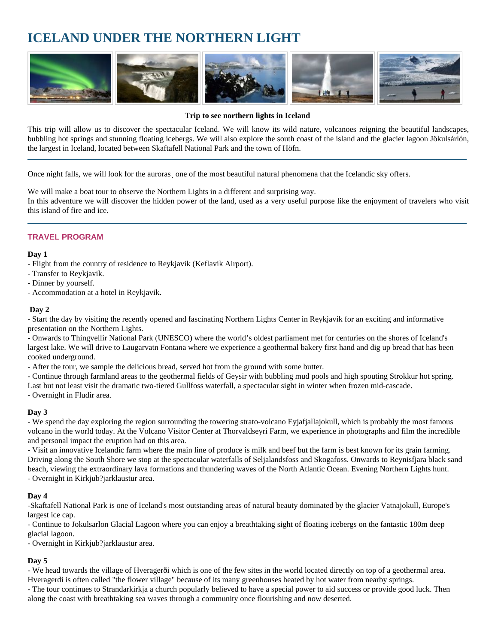# **ICELAND UNDER THE NORTHERN LIGHT**



#### **Trip to see northern lights in Iceland**

This trip will allow us to discover the spectacular Iceland. We will know its wild nature, volcanoes reigning the beautiful landscapes, bubbling hot springs and stunning floating icebergs. We will also explore the south coast of the island and the glacier lagoon Jökulsárlón, the largest in Iceland, located between Skaftafell National Park and the town of Höfn.

Once night falls, we will look for the auroras¸ one of the most beautiful natural phenomena that the Icelandic sky offers.

We will make a boat tour to observe the Northern Lights in a different and surprising way. In this adventure we will discover the hidden power of the land, used as a very useful purpose like the enjoyment of travelers who visit this island of fire and ice.

# **TRAVEL PROGRAM**

#### **Day 1**

- Flight from the country of residence to Reykjavik (Keflavik Airport).

- Transfer to Reykjavik.
- Dinner by yourself.
- Accommodation at a hotel in Reykjavik.

#### **Day 2**

- Start the day by visiting the recently opened and fascinating Northern Lights Center in Reykjavik for an exciting and informative presentation on the Northern Lights.

- Onwards to Thingvellir National Park (UNESCO) where the world's oldest parliament met for centuries on the shores of Iceland's largest lake. We will drive to Laugarvatn Fontana where we experience a geothermal bakery first hand and dig up bread that has been cooked underground.

- After the tour, we sample the delicious bread, served hot from the ground with some butter.

- Continue through farmland areas to the geothermal fields of Geysir with bubbling mud pools and high spouting Strokkur hot spring. Last but not least visit the dramatic two-tiered Gullfoss waterfall, a spectacular sight in winter when frozen mid-cascade.

- Overnight in Fludir area.

#### **Day 3**

- We spend the day exploring the region surrounding the towering strato-volcano Eyjafjallajokull, which is probably the most famous volcano in the world today. At the Volcano Visitor Center at Thorvaldseyri Farm, we experience in photographs and film the incredible and personal impact the eruption had on this area.

- Visit an innovative Icelandic farm where the main line of produce is milk and beef but the farm is best known for its grain farming. Driving along the South Shore we stop at the spectacular waterfalls of Seljalandsfoss and Skogafoss. Onwards to Reynisfjara black sand beach, viewing the extraordinary lava formations and thundering waves of the North Atlantic Ocean. Evening Northern Lights hunt. - Overnight in Kirkjub?jarklaustur area.

## **Day 4**

-Skaftafell National Park is one of Iceland's most outstanding areas of natural beauty dominated by the glacier Vatnajokull, Europe's largest ice cap.

- Continue to Jokulsarlon Glacial Lagoon where you can enjoy a breathtaking sight of floating icebergs on the fantastic 180m deep glacial lagoon.

- Overnight in Kirkjub?jarklaustur area.

## **Day 5**

- We head towards the village of Hveragerði which is one of the few sites in the world located directly on top of a geothermal area. Hveragerdi is often called "the flower village" because of its many greenhouses heated by hot water from nearby springs.

- The tour continues to Strandarkirkja a church popularly believed to have a special power to aid success or provide good luck. Then along the coast with breathtaking sea waves through a community once flourishing and now deserted.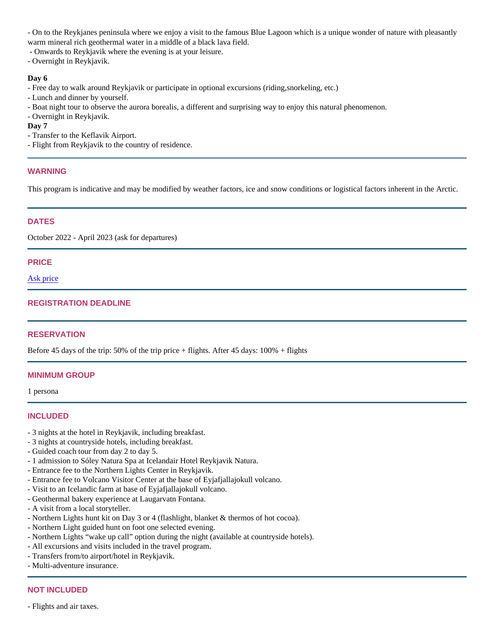- On to the Reykjanes peninsula where we enjoy a visit to the famous Blue Lagoon which is a unique wonder of nature with pleasantly warm mineral rich geothermal water in a middle of a black lava field.

- Onwards to Reykjavik where the evening is at your leisure.

- Overnight in Reykjavik.

Day 6

- Free day to walk around Reykjavik or participate in optional excursions (riding, snorkeling, etc.)

- Lunch and dinner by yourself.

- Boat night tour to observe the aurora borealis, a different and surprising way to enjoy this natural phenomenon.

- Overnight in Reykjavik.

Day 7

- Transfer to the Keflavik Airport.

- Flight from Reykjavik to the country of residence.

## WARNING

This program is indicative and may be modified by weather factors, ice and snow conditions or logistical factors inherent in the Arctic.

## DATES

October 2022 - April 2023 (ask for departures)

## PRICE

[Ask price](mailto:info@arctic-world.com?subject=Iceland under the Northern Light)

## REGISTRATION DEADLINE

## **RESERVATION**

Before 45 days of the trip: 50% of the trip price + flights. After 45 days: 100% + flights

## MINIMUM GROUP

1 persona

# INCLUDED

- 3 nights at the hotel in Reykjavik, including breakfast.
- 3 nights at countryside hotels, including breakfast.
- Guided coach tour from day 2 to day 5.
- 1 admission to Sóley Natura Spa at Icelandair Hotel Reykjavik Natura.
- Entrance fee to the Northern Lights Center in Reykjavik.
- Entrance fee to Volcano Visitor Center at the base of Eyjafjallajokull volcano.
- Visit to an Icelandic farm at base of Eyjafjallajokull volcano.
- Geothermal bakery experience at Laugarvatn Fontana.
- A visit from a local storyteller.
- Northern Lights hunt kit on Day 3 or 4 (flashlight, blanket & thermos of hot cocoa).
- Northern Light guided hunt on foot one selected evening.
- Northern Lights "wake up call" option during the night (available at countryside hotels).
- All excursions and visits included in the travel program.
- Transfers from/to airport/hotel in Reykjavik.
- Multi-adventure insurance.

## NOT INCLUDED

- Flights and air taxes.